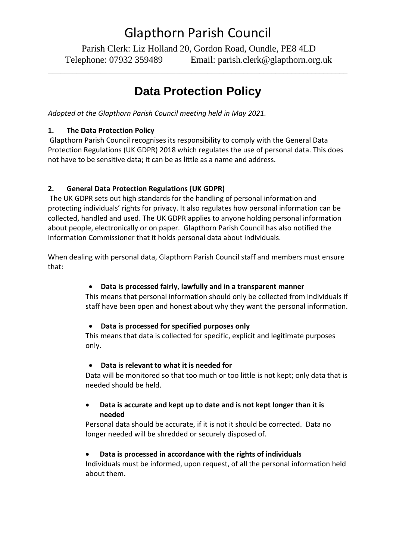# Glapthorn Parish Council

Parish Clerk: Liz Holland 20, Gordon Road, Oundle, PE8 4LD Telephone: 07932 359489 Email: parish.clerk@glapthorn.org.uk

## **Data Protection Policy**

\_\_\_\_\_\_\_\_\_\_\_\_\_\_\_\_\_\_\_\_\_\_\_\_\_\_\_\_\_\_\_\_\_\_\_\_\_\_\_\_\_\_\_\_\_\_\_\_\_\_\_\_\_\_\_\_\_\_\_\_\_\_\_\_\_\_\_\_\_\_\_\_\_\_\_

*Adopted at the Glapthorn Parish Council meeting held in May 2021.*

#### **1. The Data Protection Policy**

Glapthorn Parish Council recognises its responsibility to comply with the General Data Protection Regulations (UK GDPR) 2018 which regulates the use of personal data. This does not have to be sensitive data; it can be as little as a name and address.

#### **2. General Data Protection Regulations (UK GDPR)**

The UK GDPR sets out high standards for the handling of personal information and protecting individuals' rights for privacy. It also regulates how personal information can be collected, handled and used. The UK GDPR applies to anyone holding personal information about people, electronically or on paper. Glapthorn Parish Council has also notified the Information Commissioner that it holds personal data about individuals.

When dealing with personal data, Glapthorn Parish Council staff and members must ensure that:

#### • **Data is processed fairly, lawfully and in a transparent manner**

This means that personal information should only be collected from individuals if staff have been open and honest about why they want the personal information.

#### • **Data is processed for specified purposes only**

This means that data is collected for specific, explicit and legitimate purposes only.

#### • **Data is relevant to what it is needed for**

Data will be monitored so that too much or too little is not kept; only data that is needed should be held.

#### • **Data is accurate and kept up to date and is not kept longer than it is needed**

Personal data should be accurate, if it is not it should be corrected. Data no longer needed will be shredded or securely disposed of.

#### • **Data is processed in accordance with the rights of individuals**

Individuals must be informed, upon request, of all the personal information held about them.